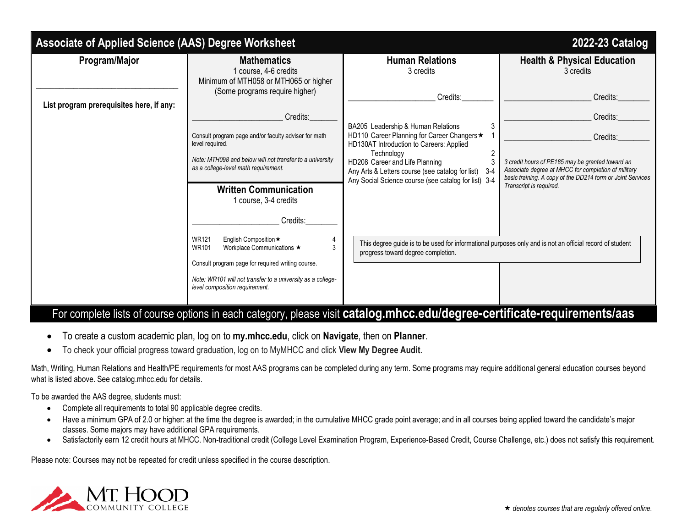| Associate of Applied Science (AAS) Degree Worksheet<br>2022-23 Catalog |                                                                                                                                          |                                                                                                                                                                   |                                                                                                                                                                       |  |
|------------------------------------------------------------------------|------------------------------------------------------------------------------------------------------------------------------------------|-------------------------------------------------------------------------------------------------------------------------------------------------------------------|-----------------------------------------------------------------------------------------------------------------------------------------------------------------------|--|
| Program/Major                                                          | <b>Mathematics</b><br>1 course, 4-6 credits<br>Minimum of MTH058 or MTH065 or higher                                                     | <b>Human Relations</b><br>3 credits                                                                                                                               | <b>Health &amp; Physical Education</b><br>3 credits                                                                                                                   |  |
| List program prerequisites here, if any:                               | (Some programs require higher)                                                                                                           | Credits:                                                                                                                                                          | Credits:                                                                                                                                                              |  |
|                                                                        | Credits:                                                                                                                                 | BA205 Leadership & Human Relations                                                                                                                                | Credits:                                                                                                                                                              |  |
|                                                                        | Consult program page and/or faculty adviser for math<br>level required.                                                                  | HD110 Career Planning for Career Changers *<br>HD130AT Introduction to Careers: Applied                                                                           | Credits:                                                                                                                                                              |  |
|                                                                        | Note: MTH098 and below will not transfer to a university<br>as a college-level math requirement.                                         | Technology<br>HD208 Career and Life Planning<br>Any Arts & Letters course (see catalog for list)<br>$3-4$<br>Any Social Science course (see catalog for list) 3-4 | 3 credit hours of PE185 may be granted toward an<br>Associate degree at MHCC for completion of military<br>basic training. A copy of the DD214 form or Joint Services |  |
|                                                                        | <b>Written Communication</b><br>1 course, 3-4 credits                                                                                    |                                                                                                                                                                   | Transcript is required.                                                                                                                                               |  |
|                                                                        | Credits:                                                                                                                                 |                                                                                                                                                                   |                                                                                                                                                                       |  |
|                                                                        | <b>WR121</b><br>English Composition ★<br>Workplace Communications ★<br><b>WR101</b><br>Consult program page for required writing course. | This degree guide is to be used for informational purposes only and is not an official record of student<br>progress toward degree completion.                    |                                                                                                                                                                       |  |
|                                                                        | Note: WR101 will not transfer to a university as a college-<br>level composition requirement.                                            |                                                                                                                                                                   |                                                                                                                                                                       |  |
|                                                                        |                                                                                                                                          | For complete lists of course options in each category, please visit catalog.mhcc.edu/degree-certificate-requirements/aas                                          |                                                                                                                                                                       |  |

- To create a custom academic plan, log on to **my.mhcc.edu**, click on **Navigate**, then on **Planner**.
- To check your official progress toward graduation, log on to MyMHCC and click **View My Degree Audit**.

Math, Writing, Human Relations and Health/PE requirements for most AAS programs can be completed during any term. Some programs may require additional general education courses beyond what is listed above. See catalog.mhcc.edu for details.

To be awarded the AAS degree, students must:

- Complete all requirements to total 90 applicable degree credits.
- Have a minimum GPA of 2.0 or higher: at the time the degree is awarded; in the cumulative MHCC grade point average; and in all courses being applied toward the candidate's major classes. Some majors may have additional GPA requirements.
- Satisfactorily earn 12 credit hours at MHCC. Non-traditional credit (College Level Examination Program, Experience-Based Credit, Course Challenge, etc.) does not satisfy this requirement.

Please note: Courses may not be repeated for credit unless specified in the course description.